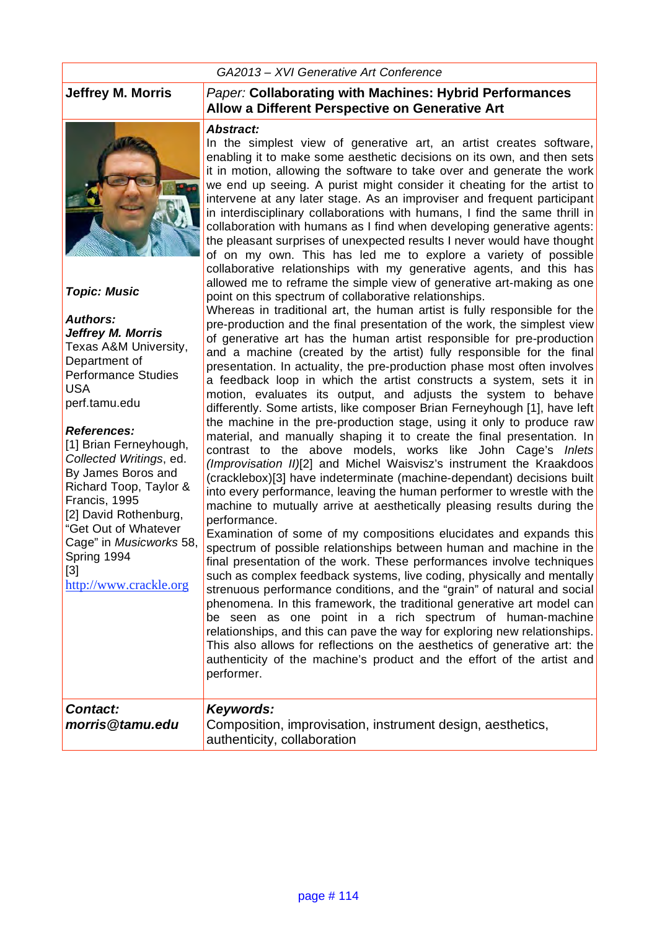#### *GA2013 – XVI Generative Art Conference*



#### *Topic: Music*

*Authors: Jeffrey M. Morris* Texas A&M University, Department of Performance Studies USA perf.tamu.edu

#### *References:*

[1] Brian Ferneyhough, *Collected Writings*, ed. By James Boros and Richard Toop, Taylor & Francis, 1995 [2] David Rothenburg, "Get Out of Whatever Cage" in *Musicworks* 58, Spring 1994 [3] http://www.crackle.org

#### **Jeffrey M. Morris** *Paper:* **Collaborating with Machines: Hybrid Performances Allow a Different Perspective on Generative Art**

#### *Abstract:*

In the simplest view of generative art, an artist creates software, enabling it to make some aesthetic decisions on its own, and then sets it in motion, allowing the software to take over and generate the work we end up seeing. A purist might consider it cheating for the artist to intervene at any later stage. As an improviser and frequent participant in interdisciplinary collaborations with humans, I find the same thrill in collaboration with humans as I find when developing generative agents: the pleasant surprises of unexpected results I never would have thought of on my own. This has led me to explore a variety of possible collaborative relationships with my generative agents, and this has allowed me to reframe the simple view of generative art-making as one point on this spectrum of collaborative relationships.

Whereas in traditional art, the human artist is fully responsible for the pre-production and the final presentation of the work, the simplest view of generative art has the human artist responsible for pre-production and a machine (created by the artist) fully responsible for the final presentation. In actuality, the pre-production phase most often involves a feedback loop in which the artist constructs a system, sets it in motion, evaluates its output, and adjusts the system to behave differently. Some artists, like composer Brian Ferneyhough [1], have left the machine in the pre-production stage, using it only to produce raw material, and manually shaping it to create the final presentation. In contrast to the above models, works like John Cage's *Inlets (Improvisation II)*[2] and Michel Waisvisz's instrument the Kraakdoos (cracklebox)[3] have indeterminate (machine-dependant) decisions built into every performance, leaving the human performer to wrestle with the machine to mutually arrive at aesthetically pleasing results during the performance.

Examination of some of my compositions elucidates and expands this spectrum of possible relationships between human and machine in the final presentation of the work. These performances involve techniques such as complex feedback systems, live coding, physically and mentally strenuous performance conditions, and the "grain" of natural and social phenomena. In this framework, the traditional generative art model can be seen as one point in a rich spectrum of human-machine relationships, and this can pave the way for exploring new relationships. This also allows for reflections on the aesthetics of generative art: the authenticity of the machine's product and the effort of the artist and performer.

| Contact:        | Keywords:                                                  |
|-----------------|------------------------------------------------------------|
| morris@tamu.edu | Composition, improvisation, instrument design, aesthetics, |
|                 | authenticity, collaboration                                |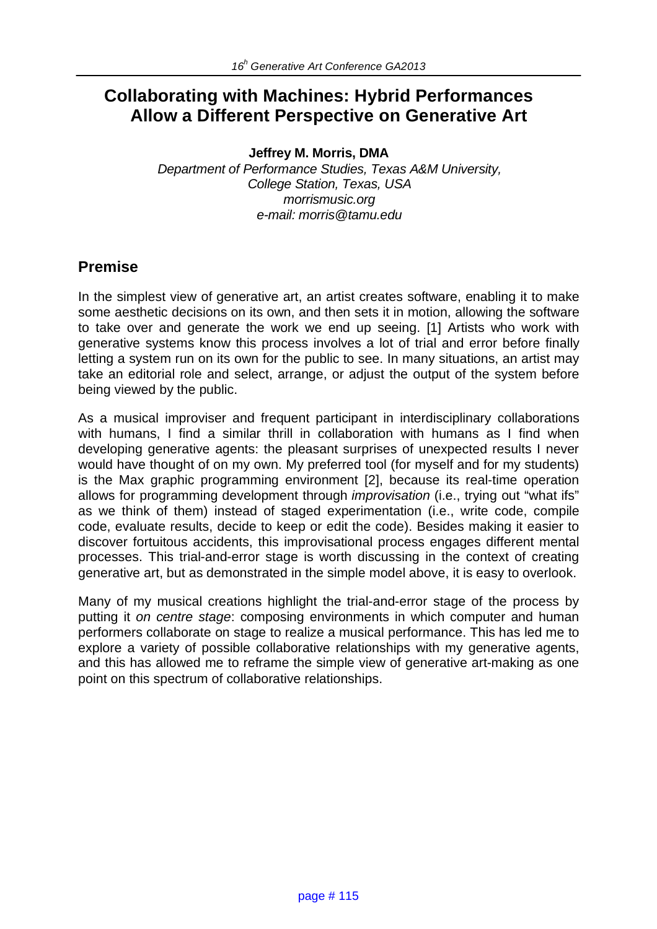# **Collaborating with Machines: Hybrid Performances Allow a Different Perspective on Generative Art**

**Jeffrey M. Morris, DMA**

*Department of Performance Studies, Texas A&M University, College Station, Texas, USA morrismusic.org e-mail: morris@tamu.edu*

# **Premise**

In the simplest view of generative art, an artist creates software, enabling it to make some aesthetic decisions on its own, and then sets it in motion, allowing the software to take over and generate the work we end up seeing. [1] Artists who work with generative systems know this process involves a lot of trial and error before finally letting a system run on its own for the public to see. In many situations, an artist may take an editorial role and select, arrange, or adjust the output of the system before being viewed by the public.

As a musical improviser and frequent participant in interdisciplinary collaborations with humans, I find a similar thrill in collaboration with humans as I find when developing generative agents: the pleasant surprises of unexpected results I never would have thought of on my own. My preferred tool (for myself and for my students) is the Max graphic programming environment [2], because its real-time operation allows for programming development through *improvisation* (i.e., trying out "what ifs" as we think of them) instead of staged experimentation (i.e., write code, compile code, evaluate results, decide to keep or edit the code). Besides making it easier to discover fortuitous accidents, this improvisational process engages different mental processes. This trial-and-error stage is worth discussing in the context of creating generative art, but as demonstrated in the simple model above, it is easy to overlook.

Many of my musical creations highlight the trial-and-error stage of the process by putting it *on centre stage*: composing environments in which computer and human performers collaborate on stage to realize a musical performance. This has led me to explore a variety of possible collaborative relationships with my generative agents, and this has allowed me to reframe the simple view of generative art-making as one point on this spectrum of collaborative relationships.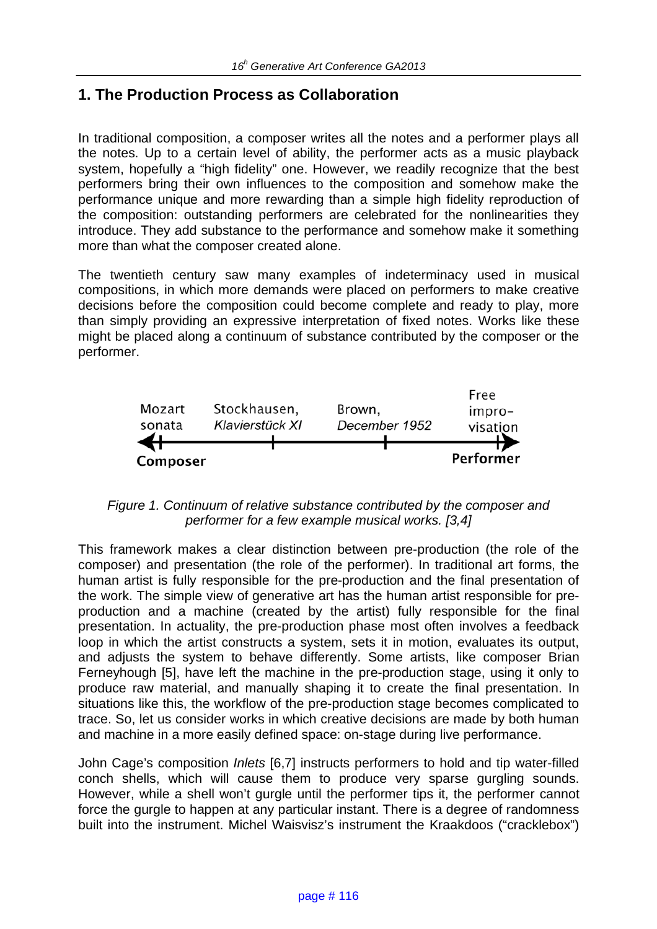# **1. The Production Process as Collaboration**

In traditional composition, a composer writes all the notes and a performer plays all the notes. Up to a certain level of ability, the performer acts as a music playback system, hopefully a "high fidelity" one. However, we readily recognize that the best performers bring their own influences to the composition and somehow make the performance unique and more rewarding than a simple high fidelity reproduction of the composition: outstanding performers are celebrated for the nonlinearities they introduce. They add substance to the performance and somehow make it something more than what the composer created alone.

The twentieth century saw many examples of indeterminacy used in musical compositions, in which more demands were placed on performers to make creative decisions before the composition could become complete and ready to play, more than simply providing an expressive interpretation of fixed notes. Works like these might be placed along a continuum of substance contributed by the composer or the performer.



*Figure 1. Continuum of relative substance contributed by the composer and performer for a few example musical works. [3,4]*

This framework makes a clear distinction between pre-production (the role of the composer) and presentation (the role of the performer). In traditional art forms, the human artist is fully responsible for the pre-production and the final presentation of the work. The simple view of generative art has the human artist responsible for preproduction and a machine (created by the artist) fully responsible for the final presentation. In actuality, the pre-production phase most often involves a feedback loop in which the artist constructs a system, sets it in motion, evaluates its output, and adjusts the system to behave differently. Some artists, like composer Brian Ferneyhough [5], have left the machine in the pre-production stage, using it only to produce raw material, and manually shaping it to create the final presentation. In situations like this, the workflow of the pre-production stage becomes complicated to trace. So, let us consider works in which creative decisions are made by both human and machine in a more easily defined space: on-stage during live performance.

John Cage's composition *Inlets* [6,7] instructs performers to hold and tip water-filled conch shells, which will cause them to produce very sparse gurgling sounds. However, while a shell won't gurgle until the performer tips it, the performer cannot force the gurgle to happen at any particular instant. There is a degree of randomness built into the instrument. Michel Waisvisz's instrument the Kraakdoos ("cracklebox")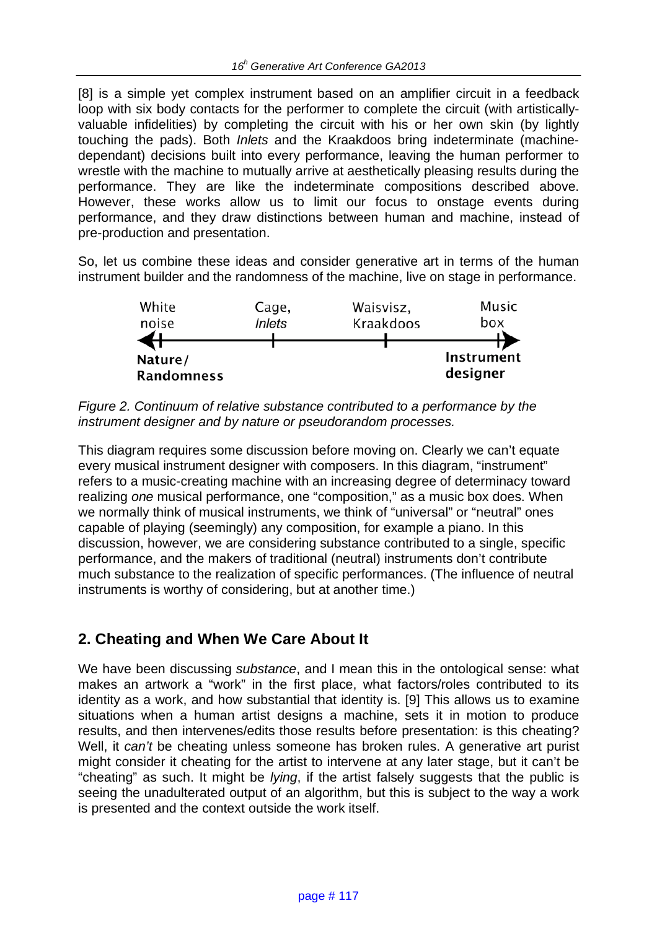[8] is a simple yet complex instrument based on an amplifier circuit in a feedback loop with six body contacts for the performer to complete the circuit (with artisticallyvaluable infidelities) by completing the circuit with his or her own skin (by lightly touching the pads). Both *Inlets* and the Kraakdoos bring indeterminate (machinedependant) decisions built into every performance, leaving the human performer to wrestle with the machine to mutually arrive at aesthetically pleasing results during the performance. They are like the indeterminate compositions described above. However, these works allow us to limit our focus to onstage events during performance, and they draw distinctions between human and machine, instead of pre-production and presentation.

So, let us combine these ideas and consider generative art in terms of the human instrument builder and the randomness of the machine, live on stage in performance.



*Figure 2. Continuum of relative substance contributed to a performance by the instrument designer and by nature or pseudorandom processes.*

This diagram requires some discussion before moving on. Clearly we can't equate every musical instrument designer with composers. In this diagram, "instrument" refers to a music-creating machine with an increasing degree of determinacy toward realizing *one* musical performance, one "composition," as a music box does. When we normally think of musical instruments, we think of "universal" or "neutral" ones capable of playing (seemingly) any composition, for example a piano. In this discussion, however, we are considering substance contributed to a single, specific performance, and the makers of traditional (neutral) instruments don't contribute much substance to the realization of specific performances. (The influence of neutral instruments is worthy of considering, but at another time.)

# **2. Cheating and When We Care About It**

We have been discussing *substance*, and I mean this in the ontological sense: what makes an artwork a "work" in the first place, what factors/roles contributed to its identity as a work, and how substantial that identity is. [9] This allows us to examine situations when a human artist designs a machine, sets it in motion to produce results, and then intervenes/edits those results before presentation: is this cheating? Well, it *can't* be cheating unless someone has broken rules. A generative art purist might consider it cheating for the artist to intervene at any later stage, but it can't be "cheating" as such. It might be *lying*, if the artist falsely suggests that the public is seeing the unadulterated output of an algorithm, but this is subject to the way a work is presented and the context outside the work itself.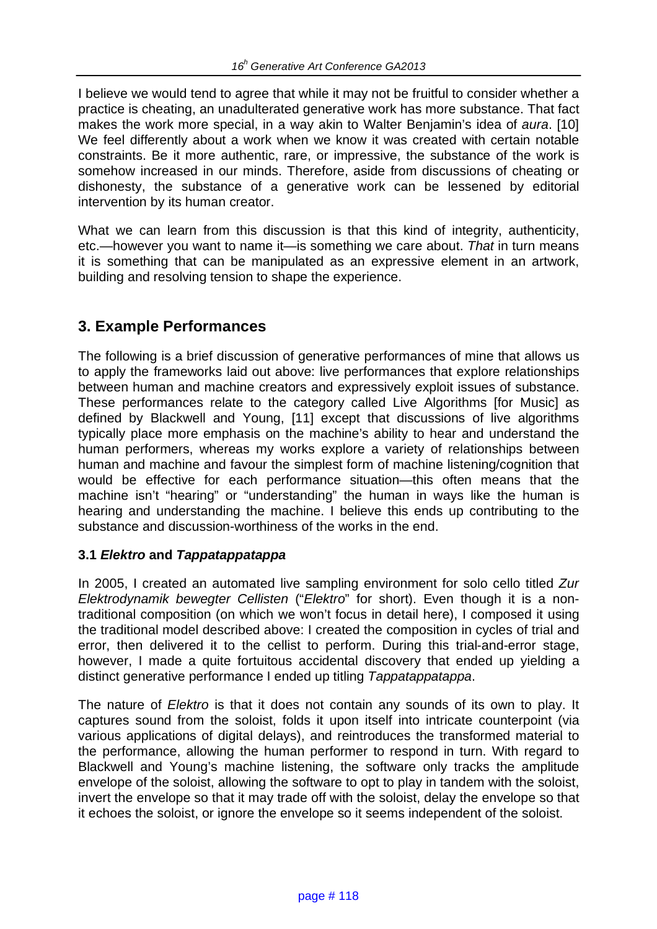I believe we would tend to agree that while it may not be fruitful to consider whether a practice is cheating, an unadulterated generative work has more substance. That fact makes the work more special, in a way akin to Walter Benjamin's idea of *aura*. [10] We feel differently about a work when we know it was created with certain notable constraints. Be it more authentic, rare, or impressive, the substance of the work is somehow increased in our minds. Therefore, aside from discussions of cheating or dishonesty, the substance of a generative work can be lessened by editorial intervention by its human creator.

What we can learn from this discussion is that this kind of integrity, authenticity, etc.—however you want to name it—is something we care about. *That* in turn means it is something that can be manipulated as an expressive element in an artwork, building and resolving tension to shape the experience.

# **3. Example Performances**

The following is a brief discussion of generative performances of mine that allows us to apply the frameworks laid out above: live performances that explore relationships between human and machine creators and expressively exploit issues of substance. These performances relate to the category called Live Algorithms [for Music] as defined by Blackwell and Young, [11] except that discussions of live algorithms typically place more emphasis on the machine's ability to hear and understand the human performers, whereas my works explore a variety of relationships between human and machine and favour the simplest form of machine listening/cognition that would be effective for each performance situation—this often means that the machine isn't "hearing" or "understanding" the human in ways like the human is hearing and understanding the machine. I believe this ends up contributing to the substance and discussion-worthiness of the works in the end.

## **3.1** *Elektro* **and** *Tappatappatappa*

In 2005, I created an automated live sampling environment for solo cello titled *Zur Elektrodynamik bewegter Cellisten* ("*Elektro*" for short). Even though it is a nontraditional composition (on which we won't focus in detail here), I composed it using the traditional model described above: I created the composition in cycles of trial and error, then delivered it to the cellist to perform. During this trial-and-error stage, however, I made a quite fortuitous accidental discovery that ended up yielding a distinct generative performance I ended up titling *Tappatappatappa*.

The nature of *Elektro* is that it does not contain any sounds of its own to play. It captures sound from the soloist, folds it upon itself into intricate counterpoint (via various applications of digital delays), and reintroduces the transformed material to the performance, allowing the human performer to respond in turn. With regard to Blackwell and Young's machine listening, the software only tracks the amplitude envelope of the soloist, allowing the software to opt to play in tandem with the soloist, invert the envelope so that it may trade off with the soloist, delay the envelope so that it echoes the soloist, or ignore the envelope so it seems independent of the soloist.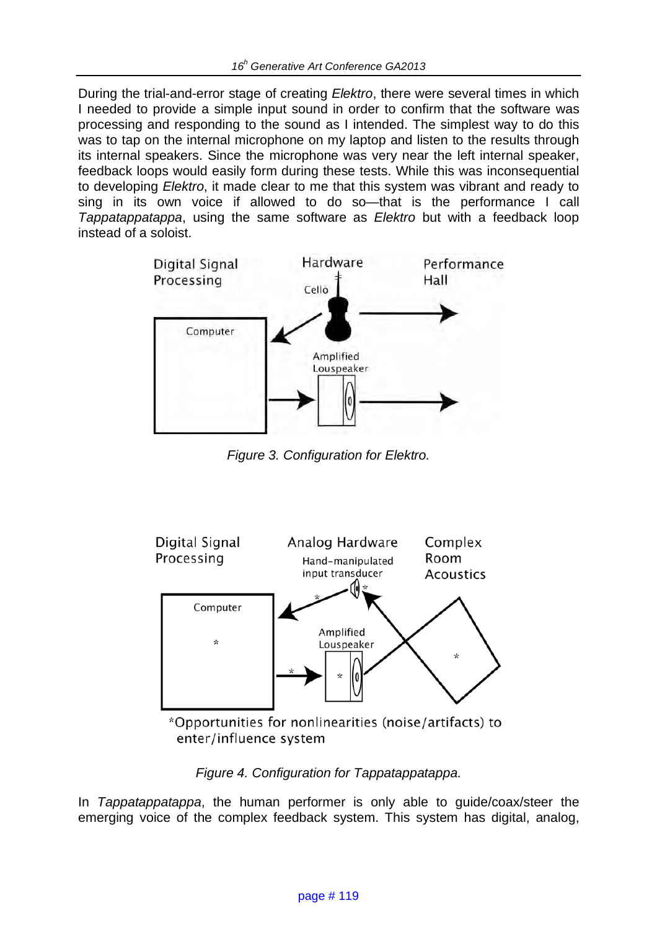During the trial-and-error stage of creating *Elektro*, there were several times in which I needed to provide a simple input sound in order to confirm that the software was processing and responding to the sound as I intended. The simplest way to do this was to tap on the internal microphone on my laptop and listen to the results through its internal speakers. Since the microphone was very near the left internal speaker, feedback loops would easily form during these tests. While this was inconsequential to developing *Elektro*, it made clear to me that this system was vibrant and ready to sing in its own voice if allowed to do so—that is the performance I call *Tappatappatappa*, using the same software as *Elektro* but with a feedback loop instead of a soloist.



*Figure 3. Configuration for Elektro.*



\*Opportunities for nonlinearities (noise/artifacts) to enter/influence system

# *Figure 4. Configuration for Tappatappatappa.*

In *Tappatappatappa*, the human performer is only able to guide/coax/steer the emerging voice of the complex feedback system. This system has digital, analog,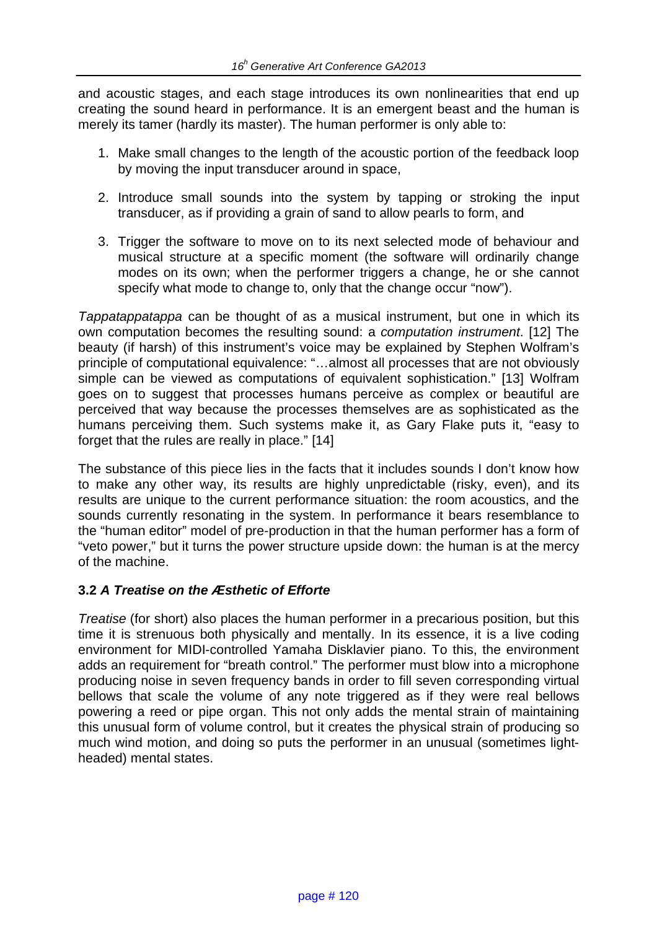and acoustic stages, and each stage introduces its own nonlinearities that end up creating the sound heard in performance. It is an emergent beast and the human is merely its tamer (hardly its master). The human performer is only able to:

- 1. Make small changes to the length of the acoustic portion of the feedback loop by moving the input transducer around in space,
- 2. Introduce small sounds into the system by tapping or stroking the input transducer, as if providing a grain of sand to allow pearls to form, and
- 3. Trigger the software to move on to its next selected mode of behaviour and musical structure at a specific moment (the software will ordinarily change modes on its own; when the performer triggers a change, he or she cannot specify what mode to change to, only that the change occur "now").

*Tappatappatappa* can be thought of as a musical instrument, but one in which its own computation becomes the resulting sound: a *computation instrument*. [12] The beauty (if harsh) of this instrument's voice may be explained by Stephen Wolfram's principle of computational equivalence: "…almost all processes that are not obviously simple can be viewed as computations of equivalent sophistication." [13] Wolfram goes on to suggest that processes humans perceive as complex or beautiful are perceived that way because the processes themselves are as sophisticated as the humans perceiving them. Such systems make it, as Gary Flake puts it, "easy to forget that the rules are really in place." [14]

The substance of this piece lies in the facts that it includes sounds I don't know how to make any other way, its results are highly unpredictable (risky, even), and its results are unique to the current performance situation: the room acoustics, and the sounds currently resonating in the system. In performance it bears resemblance to the "human editor" model of pre-production in that the human performer has a form of "veto power," but it turns the power structure upside down: the human is at the mercy of the machine.

## **3.2** *A Treatise on the Æsthetic of Efforte*

*Treatise* (for short) also places the human performer in a precarious position, but this time it is strenuous both physically and mentally. In its essence, it is a live coding environment for MIDI-controlled Yamaha Disklavier piano. To this, the environment adds an requirement for "breath control." The performer must blow into a microphone producing noise in seven frequency bands in order to fill seven corresponding virtual bellows that scale the volume of any note triggered as if they were real bellows powering a reed or pipe organ. This not only adds the mental strain of maintaining this unusual form of volume control, but it creates the physical strain of producing so much wind motion, and doing so puts the performer in an unusual (sometimes lightheaded) mental states.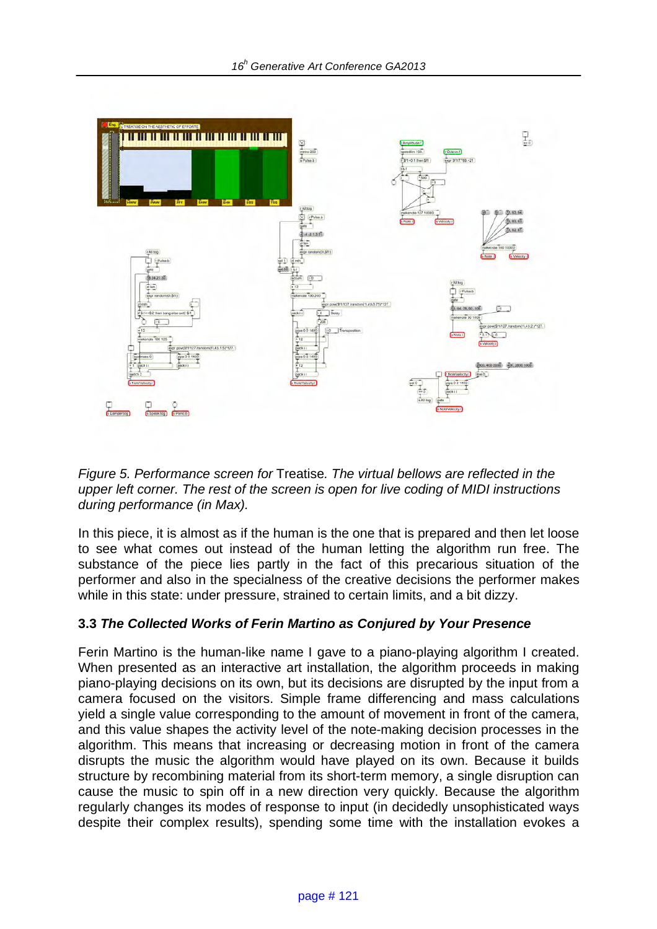

*Figure 5. Performance screen for* Treatise*. The virtual bellows are reflected in the upper left corner. The rest of the screen is open for live coding of MIDI instructions during performance (in Max).* 

In this piece, it is almost as if the human is the one that is prepared and then let loose to see what comes out instead of the human letting the algorithm run free. The substance of the piece lies partly in the fact of this precarious situation of the performer and also in the specialness of the creative decisions the performer makes while in this state: under pressure, strained to certain limits, and a bit dizzy.

## **3.3** *The Collected Works of Ferin Martino as Conjured by Your Presence*

Ferin Martino is the human-like name I gave to a piano-playing algorithm I created. When presented as an interactive art installation, the algorithm proceeds in making piano-playing decisions on its own, but its decisions are disrupted by the input from a camera focused on the visitors. Simple frame differencing and mass calculations yield a single value corresponding to the amount of movement in front of the camera, and this value shapes the activity level of the note-making decision processes in the algorithm. This means that increasing or decreasing motion in front of the camera disrupts the music the algorithm would have played on its own. Because it builds structure by recombining material from its short-term memory, a single disruption can cause the music to spin off in a new direction very quickly. Because the algorithm regularly changes its modes of response to input (in decidedly unsophisticated ways despite their complex results), spending some time with the installation evokes a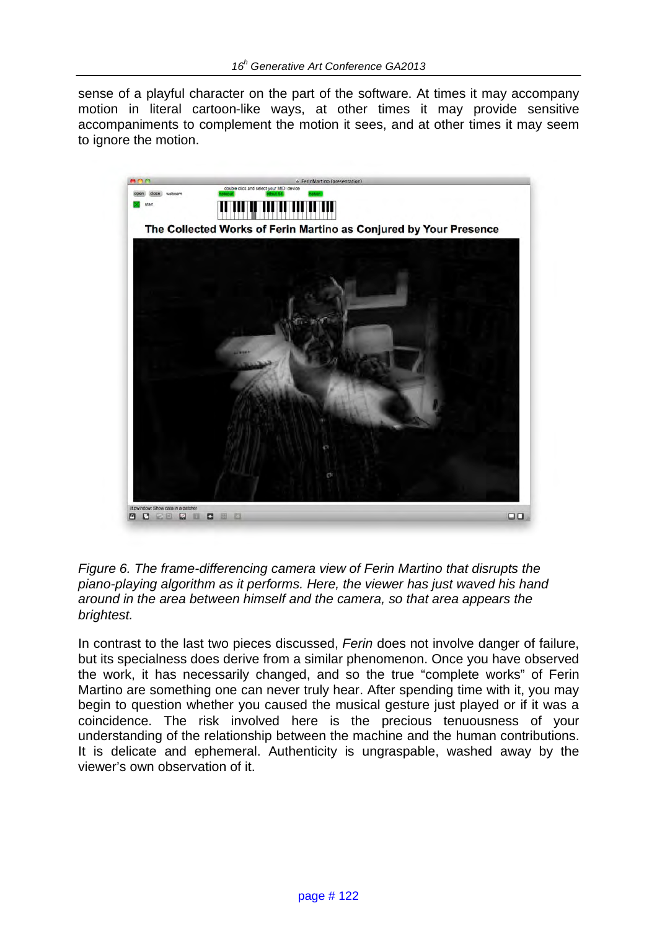sense of a playful character on the part of the software. At times it may accompany motion in literal cartoon-like ways, at other times it may provide sensitive accompaniments to complement the motion it sees, and at other times it may seem to ignore the motion.



*Figure 6. The frame-differencing camera view of Ferin Martino that disrupts the piano-playing algorithm as it performs. Here, the viewer has just waved his hand around in the area between himself and the camera, so that area appears the brightest.*

In contrast to the last two pieces discussed, *Ferin* does not involve danger of failure, but its specialness does derive from a similar phenomenon. Once you have observed the work, it has necessarily changed, and so the true "complete works" of Ferin Martino are something one can never truly hear. After spending time with it, you may begin to question whether you caused the musical gesture just played or if it was a coincidence. The risk involved here is the precious tenuousness of your understanding of the relationship between the machine and the human contributions. It is delicate and ephemeral. Authenticity is ungraspable, washed away by the viewer's own observation of it.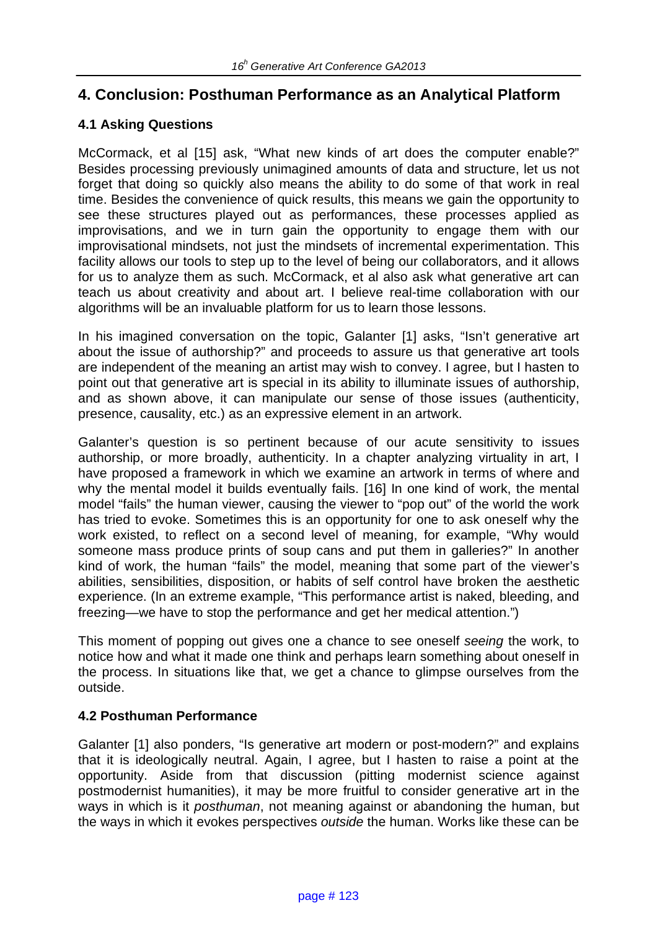# **4. Conclusion: Posthuman Performance as an Analytical Platform**

## **4.1 Asking Questions**

McCormack, et al [15] ask, "What new kinds of art does the computer enable?" Besides processing previously unimagined amounts of data and structure, let us not forget that doing so quickly also means the ability to do some of that work in real time. Besides the convenience of quick results, this means we gain the opportunity to see these structures played out as performances, these processes applied as improvisations, and we in turn gain the opportunity to engage them with our improvisational mindsets, not just the mindsets of incremental experimentation. This facility allows our tools to step up to the level of being our collaborators, and it allows for us to analyze them as such. McCormack, et al also ask what generative art can teach us about creativity and about art. I believe real-time collaboration with our algorithms will be an invaluable platform for us to learn those lessons.

In his imagined conversation on the topic, Galanter [1] asks, "Isn't generative art about the issue of authorship?" and proceeds to assure us that generative art tools are independent of the meaning an artist may wish to convey. I agree, but I hasten to point out that generative art is special in its ability to illuminate issues of authorship, and as shown above, it can manipulate our sense of those issues (authenticity, presence, causality, etc.) as an expressive element in an artwork.

Galanter's question is so pertinent because of our acute sensitivity to issues authorship, or more broadly, authenticity. In a chapter analyzing virtuality in art, I have proposed a framework in which we examine an artwork in terms of where and why the mental model it builds eventually fails. [16] In one kind of work, the mental model "fails" the human viewer, causing the viewer to "pop out" of the world the work has tried to evoke. Sometimes this is an opportunity for one to ask oneself why the work existed, to reflect on a second level of meaning, for example, "Why would someone mass produce prints of soup cans and put them in galleries?" In another kind of work, the human "fails" the model, meaning that some part of the viewer's abilities, sensibilities, disposition, or habits of self control have broken the aesthetic experience. (In an extreme example, "This performance artist is naked, bleeding, and freezing—we have to stop the performance and get her medical attention.")

This moment of popping out gives one a chance to see oneself *seeing* the work, to notice how and what it made one think and perhaps learn something about oneself in the process. In situations like that, we get a chance to glimpse ourselves from the outside.

## **4.2 Posthuman Performance**

Galanter [1] also ponders, "Is generative art modern or post-modern?" and explains that it is ideologically neutral. Again, I agree, but I hasten to raise a point at the opportunity. Aside from that discussion (pitting modernist science against postmodernist humanities), it may be more fruitful to consider generative art in the ways in which is it *posthuman*, not meaning against or abandoning the human, but the ways in which it evokes perspectives *outside* the human. Works like these can be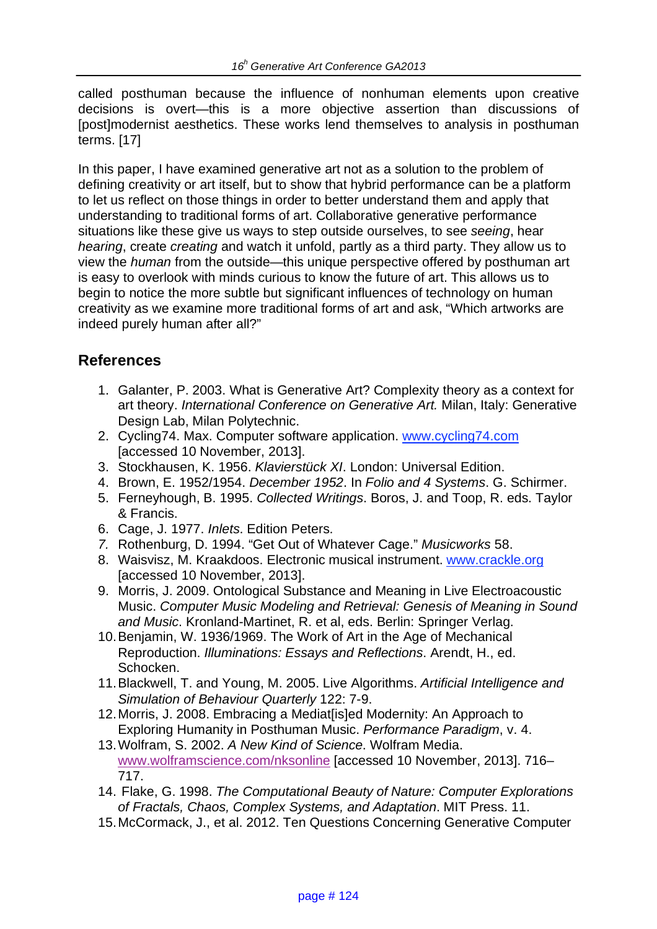called posthuman because the influence of nonhuman elements upon creative decisions is overt—this is a more objective assertion than discussions of [post]modernist aesthetics. These works lend themselves to analysis in posthuman terms. [17]

In this paper, I have examined generative art not as a solution to the problem of defining creativity or art itself, but to show that hybrid performance can be a platform to let us reflect on those things in order to better understand them and apply that understanding to traditional forms of art. Collaborative generative performance situations like these give us ways to step outside ourselves, to see *seeing*, hear *hearing*, create *creating* and watch it unfold, partly as a third party. They allow us to view the *human* from the outside—this unique perspective offered by posthuman art is easy to overlook with minds curious to know the future of art. This allows us to begin to notice the more subtle but significant influences of technology on human creativity as we examine more traditional forms of art and ask, "Which artworks are indeed purely human after all?"

## **References**

- 1. Galanter, P. 2003. What is Generative Art? Complexity theory as a context for art theory. *International Conference on Generative Art.* Milan, Italy: Generative Design Lab, Milan Polytechnic.
- 2. Cycling74. Max. Computer software application. www.cycling74.com [accessed 10 November, 2013].
- 3. Stockhausen, K. 1956. *Klavierstück XI*. London: Universal Edition.
- 4. Brown, E. 1952/1954. *December 1952*. In *Folio and 4 Systems*. G. Schirmer.
- 5. Ferneyhough, B. 1995. *Collected Writings*. Boros, J. and Toop, R. eds. Taylor & Francis.
- 6. Cage, J. 1977. *Inlets*. Edition Peters.
- *7.* Rothenburg, D. 1994. "Get Out of Whatever Cage." *Musicworks* 58.
- 8. Waisvisz, M. Kraakdoos. Electronic musical instrument. www.crackle.org [accessed 10 November, 2013].
- 9. Morris, J. 2009. Ontological Substance and Meaning in Live Electroacoustic Music. *Computer Music Modeling and Retrieval: Genesis of Meaning in Sound and Music*. Kronland-Martinet, R. et al, eds. Berlin: Springer Verlag.
- 10.Benjamin, W. 1936/1969. The Work of Art in the Age of Mechanical Reproduction. *Illuminations: Essays and Reflections*. Arendt, H., ed. Schocken.
- 11.Blackwell, T. and Young, M. 2005. Live Algorithms. *Artificial Intelligence and Simulation of Behaviour Quarterly* 122: 7-9.
- 12.Morris, J. 2008. Embracing a Mediat[is]ed Modernity: An Approach to Exploring Humanity in Posthuman Music. *Performance Paradigm*, v. 4.
- 13.Wolfram, S. 2002. *A New Kind of Science*. Wolfram Media. www.wolframscience.com/nksonline [accessed 10 November, 2013]. 716– 717.
- 14. Flake, G. 1998. *The Computational Beauty of Nature: Computer Explorations of Fractals, Chaos, Complex Systems, and Adaptation*. MIT Press. 11.
- 15.McCormack, J., et al. 2012. Ten Questions Concerning Generative Computer